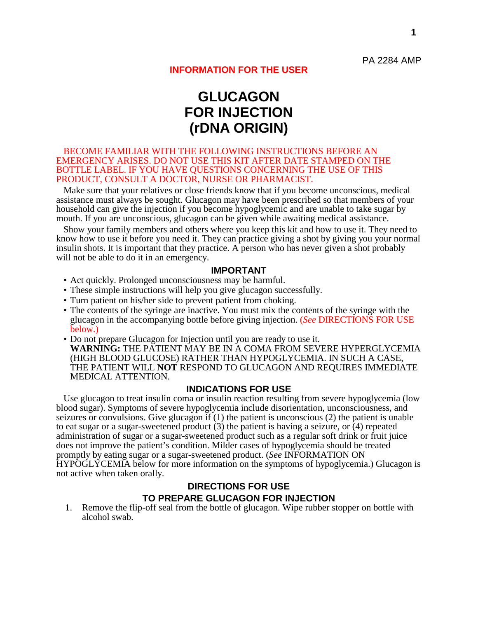PA 2284 AMP

# **GLUCAGON FOR INJECTION (rDNA ORIGIN)**

#### BECOME FAMILIAR WITH THE FOLLOWING INSTRUCTIONS BEFORE AN EMERGENCY ARISES. DO NOT USE THIS KIT AFTER DATE STAMPED ON THE BOTTLE LABEL. IF YOU HAVE QUESTIONS CONCERNING THE USE OF THIS PRODUCT, CONSULT A DOCTOR, NURSE OR PHARMACIST.

Make sure that your relatives or close friends know that if you become unconscious, medical assistance must always be sought. Glucagon may have been prescribed so that members of your household can give the injection if you become hypoglycemic and are unable to take sugar by mouth. If you are unconscious, glucagon can be given while awaiting medical assistance.

Show your family members and others where you keep this kit and how to use it. They need to know how to use it before you need it. They can practice giving a shot by giving you your normal insulin shots. It is important that they practice. A person who has never given a shot probably will not be able to do it in an emergency.

#### **IMPORTANT**

- Act quickly. Prolonged unconsciousness may be harmful.
- These simple instructions will help you give glucagon successfully.
- Turn patient on his/her side to prevent patient from choking.
- The contents of the syringe are inactive. You must mix the contents of the syringe with the glucagon in the accompanying bottle before giving injection. (*See* DIRECTIONS FOR USE below.)
- Do not prepare Glucagon for Injection until you are ready to use it. **WARNING:** THE PATIENT MAY BE IN A COMA FROM SEVERE HYPERGLYCEMIA (HIGH BLOOD GLUCOSE) RATHER THAN HYPOGLYCEMIA. IN SUCH A CASE, THE PATIENT WILL **NOT** RESPOND TO GLUCAGON AND REQUIRES IMMEDIATE MEDICAL ATTENTION.

### **INDICATIONS FOR USE**

Use glucagon to treat insulin coma or insulin reaction resulting from severe hypoglycemia (low blood sugar). Symptoms of severe hypoglycemia include disorientation, unconsciousness, and seizures or convulsions. Give glucagon if (1) the patient is unconscious (2) the patient is unable to eat sugar or a sugar-sweetened product (3) the patient is having a seizure, or (4) repeated administration of sugar or a sugar-sweetened product such as a regular soft drink or fruit juice does not improve the patient's condition. Milder cases of hypoglycemia should be treated promptly by eating sugar or a sugar-sweetened product. (*See* INFORMATION ON HYPOGLYCEMIA below for more information on the symptoms of hypoglycemia.) Glucagon is not active when taken orally.

# **DIRECTIONS FOR USE TO PREPARE GLUCAGON FOR INJECTION**

1. Remove the flip-off seal from the bottle of glucagon. Wipe rubber stopper on bottle with alcohol swab.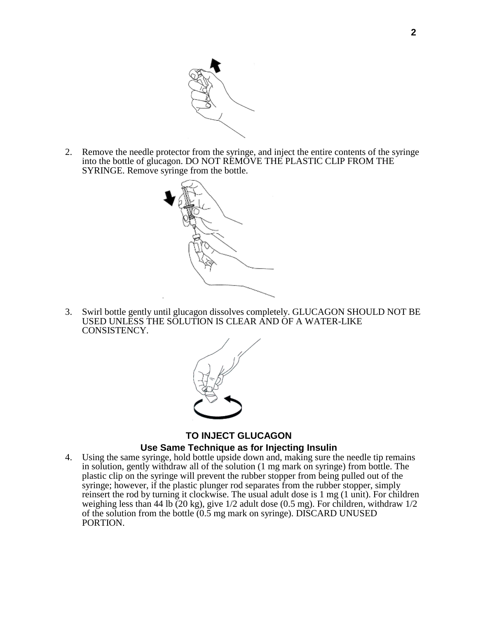

2. Remove the needle protector from the syringe, and inject the entire contents of the syringe into the bottle of glucagon. DO NOT REMOVE THE PLASTIC CLIP FROM THE SYRINGE. Remove syringe from the bottle.



3. Swirl bottle gently until glucagon dissolves completely. GLUCAGON SHOULD NOT BE USED UNLESS THE SOLUTION IS CLEAR AND OF A WATER-LIKE CONSISTENCY.



## **TO INJECT GLUCAGON Use Same Technique as for Injecting Insulin**

4. Using the same syringe, hold bottle upside down and, making sure the needle tip remains in solution, gently withdraw all of the solution (1 mg mark on syringe) from bottle. The plastic clip on the syringe will prevent the rubber stopper from being pulled out of the syringe; however, if the plastic plunger rod separates from the rubber stopper, simply reinsert the rod by turning it clockwise. The usual adult dose is 1 mg (1 unit). For children weighing less than 44 lb  $(20 \text{ kg})$ , give  $1/2$  adult dose  $(0.5 \text{ mg})$ . For children, withdraw  $1/2$ of the solution from the bottle (0.5 mg mark on syringe). DISCARD UNUSED PORTION.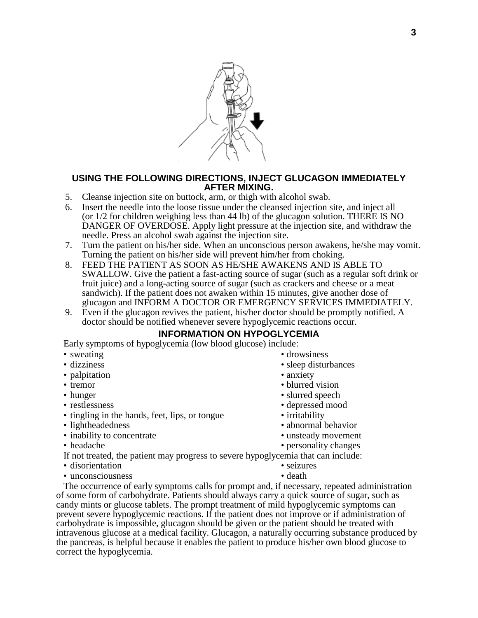

## **USING THE FOLLOWING DIRECTIONS, INJECT GLUCAGON IMMEDIATELY AFTER MIXING.**

- 5. Cleanse injection site on buttock, arm, or thigh with alcohol swab.
- 6. Insert the needle into the loose tissue under the cleansed injection site, and inject all (or 1/2 for children weighing less than 44 lb) of the glucagon solution. THERE IS NO DANGER OF OVERDOSE. Apply light pressure at the injection site, and withdraw the needle. Press an alcohol swab against the injection site.
- 7. Turn the patient on his/her side. When an unconscious person awakens, he/she may vomit. Turning the patient on his/her side will prevent him/her from choking.
- 8. FEED THE PATIENT AS SOON AS HE/SHE AWAKENS AND IS ABLE TO SWALLOW. Give the patient a fast-acting source of sugar (such as a regular soft drink or fruit juice) and a long-acting source of sugar (such as crackers and cheese or a meat sandwich). If the patient does not awaken within 15 minutes, give another dose of glucagon and INFORM A DOCTOR OR EMERGENCY SERVICES IMMEDIATELY.
- 9. Even if the glucagon revives the patient, his/her doctor should be promptly notified. A doctor should be notified whenever severe hypoglycemic reactions occur.

## **INFORMATION ON HYPOGLYCEMIA**

Early symptoms of hypoglycemia (low blood glucose) include:

- sweating drowsiness
- 
- palpitation anxiety
- 
- 
- 
- tingling in the hands, feet, lips, or tongue irritability
- 
- inability to concentrate unsteady movement
- 
- 
- dizziness sleep disturbances
	-
- tremor blurred vision
- hunger slurred speech
- restlessness depressed mood
	-
- lightheadedness abnormal behavior
	-
- headache personality changes

If not treated, the patient may progress to severe hypoglycemia that can include:

- disorientation seizures
- unconsciousness death
- The occurrence of early symptoms calls for prompt and, if necessary, repeated administration of some form of carbohydrate. Patients should always carry a quick source of sugar, such as candy mints or glucose tablets. The prompt treatment of mild hypoglycemic symptoms can prevent severe hypoglycemic reactions. If the patient does not improve or if administration of carbohydrate is impossible, glucagon should be given or the patient should be treated with intravenous glucose at a medical facility. Glucagon, a naturally occurring substance produced by the pancreas, is helpful because it enables the patient to produce his/her own blood glucose to correct the hypoglycemia.